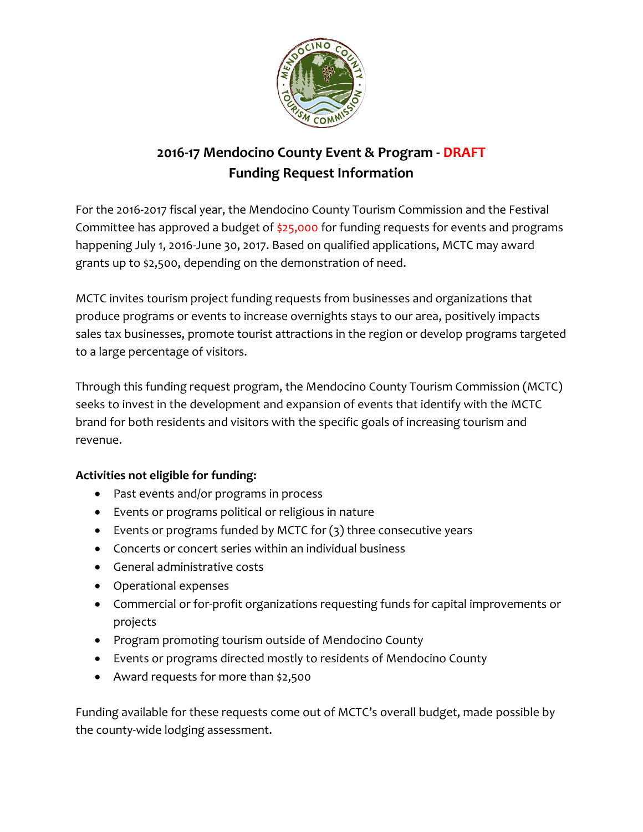

# **2016-17 Mendocino County Event & Program - DRAFT Funding Request Information**

For the 2016-2017 fiscal year, the Mendocino County Tourism Commission and the Festival Committee has approved a budget of \$25,000 for funding requests for events and programs happening July 1, 2016-June 30, 2017. Based on qualified applications, MCTC may award grants up to \$2,500, depending on the demonstration of need.

MCTC invites tourism project funding requests from businesses and organizations that produce programs or events to increase overnights stays to our area, positively impacts sales tax businesses, promote tourist attractions in the region or develop programs targeted to a large percentage of visitors.

Through this funding request program, the Mendocino County Tourism Commission (MCTC) seeks to invest in the development and expansion of events that identify with the MCTC brand for both residents and visitors with the specific goals of increasing tourism and revenue.

#### **Activities not eligible for funding:**

- Past events and/or programs in process
- Events or programs political or religious in nature
- Events or programs funded by MCTC for (3) three consecutive years
- Concerts or concert series within an individual business
- General administrative costs
- Operational expenses
- Commercial or for-profit organizations requesting funds for capital improvements or projects
- Program promoting tourism outside of Mendocino County
- Events or programs directed mostly to residents of Mendocino County
- Award requests for more than \$2,500

Funding available for these requests come out of MCTC's overall budget, made possible by the county-wide lodging assessment.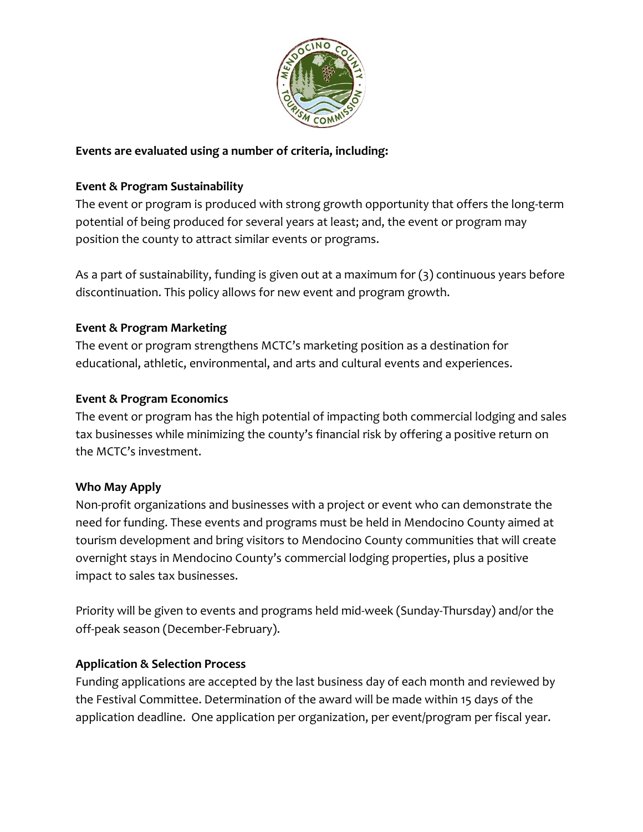

#### **Events are evaluated using a number of criteria, including:**

### **Event & Program Sustainability**

The event or program is produced with strong growth opportunity that offers the long-term potential of being produced for several years at least; and, the event or program may position the county to attract similar events or programs.

As a part of sustainability, funding is given out at a maximum for (3) continuous years before discontinuation. This policy allows for new event and program growth.

#### **Event & Program Marketing**

The event or program strengthens MCTC's marketing position as a destination for educational, athletic, environmental, and arts and cultural events and experiences.

#### **Event & Program Economics**

The event or program has the high potential of impacting both commercial lodging and sales tax businesses while minimizing the county's financial risk by offering a positive return on the MCTC's investment.

#### **Who May Apply**

Non-profit organizations and businesses with a project or event who can demonstrate the need for funding. These events and programs must be held in Mendocino County aimed at tourism development and bring visitors to Mendocino County communities that will create overnight stays in Mendocino County's commercial lodging properties, plus a positive impact to sales tax businesses.

Priority will be given to events and programs held mid-week (Sunday-Thursday) and/or the off-peak season (December-February).

## **Application & Selection Process**

Funding applications are accepted by the last business day of each month and reviewed by the Festival Committee. Determination of the award will be made within 15 days of the application deadline. One application per organization, per event/program per fiscal year.